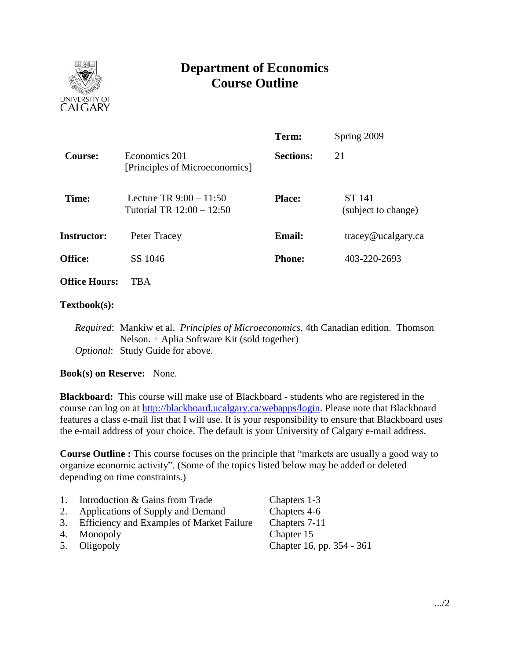

# **Department of Economics Course Outline**

|                      |                                                        | Term:            | Spring 2009                          |  |
|----------------------|--------------------------------------------------------|------------------|--------------------------------------|--|
| Course:              | Economics 201<br>[Principles of Microeconomics]        | <b>Sections:</b> | 21                                   |  |
| Time:                | Lecture TR $9:00 - 11:50$<br>Tutorial TR 12:00 - 12:50 | <b>Place:</b>    | <b>ST 141</b><br>(subject to change) |  |
| <b>Instructor:</b>   | Peter Tracey                                           | <b>Email:</b>    | $trace$ y@ucalgary.ca                |  |
| <b>Office:</b>       | SS 1046                                                | <b>Phone:</b>    | 403-220-2693                         |  |
| <b>Office Hours:</b> | <b>TBA</b>                                             |                  |                                      |  |

## **Textbook(s):**

*Required*: Mankiw et al. *Principles of Microeconomics*, 4th Canadian edition. Thomson Nelson. + Aplia Software Kit (sold together) *Optional*: Study Guide for above.

## **Book(s) on Reserve:** None.

**Blackboard:** This course will make use of Blackboard - students who are registered in the course can log on at [http://blackboard.ucalgary.ca/webapps/login.](http://blackboard.ucalgary.ca/webapps/login) Please note that Blackboard features a class e-mail list that I will use. It is your responsibility to ensure that Blackboard uses the e-mail address of your choice. The default is your University of Calgary e-mail address.

**Course Outline :** This course focuses on the principle that "markets are usually a good way to organize economic activity". (Some of the topics listed below may be added or deleted depending on time constraints.)

| 1. | Introduction & Gains from Trade              | Chapters 1-3              |
|----|----------------------------------------------|---------------------------|
|    | 2. Applications of Supply and Demand         | Chapters 4-6              |
|    | 3. Efficiency and Examples of Market Failure | Chapters 7-11             |
|    | 4. Monopoly                                  | Chapter 15                |
|    | 5. Oligopoly                                 | Chapter 16, pp. 354 - 361 |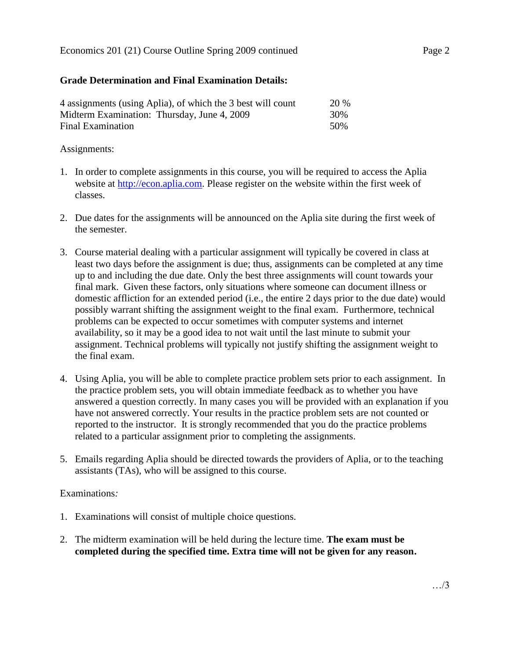# **Grade Determination and Final Examination Details:**

| 4 assignments (using Aplia), of which the 3 best will count | <b>20 %</b> |
|-------------------------------------------------------------|-------------|
| Midterm Examination: Thursday, June 4, 2009                 | 30%         |
| Final Examination                                           | .50%        |

## Assignments:

- 1. In order to complete assignments in this course, you will be required to access the Aplia website at [http://econ.aplia.com.](http://econ.aplia.com/) Please register on the website within the first week of classes.
- 2. Due dates for the assignments will be announced on the Aplia site during the first week of the semester.
- 3. Course material dealing with a particular assignment will typically be covered in class at least two days before the assignment is due; thus, assignments can be completed at any time up to and including the due date. Only the best three assignments will count towards your final mark. Given these factors, only situations where someone can document illness or domestic affliction for an extended period (i.e., the entire 2 days prior to the due date) would possibly warrant shifting the assignment weight to the final exam. Furthermore, technical problems can be expected to occur sometimes with computer systems and internet availability, so it may be a good idea to not wait until the last minute to submit your assignment. Technical problems will typically not justify shifting the assignment weight to the final exam.
- 4. Using Aplia, you will be able to complete practice problem sets prior to each assignment. In the practice problem sets, you will obtain immediate feedback as to whether you have answered a question correctly. In many cases you will be provided with an explanation if you have not answered correctly. Your results in the practice problem sets are not counted or reported to the instructor. It is strongly recommended that you do the practice problems related to a particular assignment prior to completing the assignments.
- 5. Emails regarding Aplia should be directed towards the providers of Aplia, or to the teaching assistants (TAs), who will be assigned to this course.

## Examinations*:*

- 1. Examinations will consist of multiple choice questions.
- 2. The midterm examination will be held during the lecture time. **The exam must be completed during the specified time. Extra time will not be given for any reason.**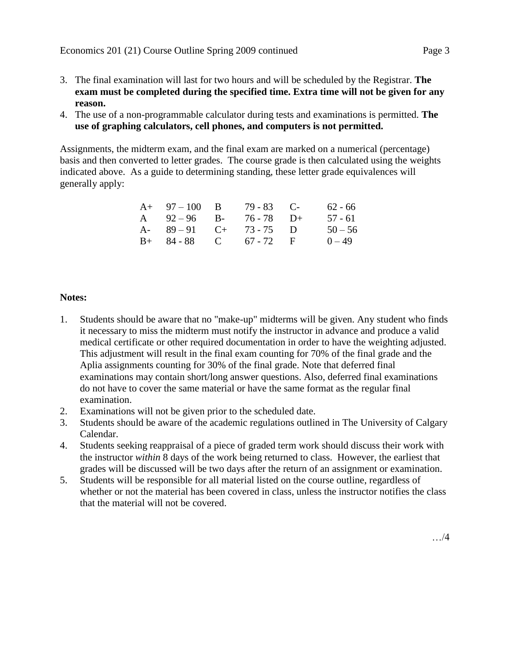- 3. The final examination will last for two hours and will be scheduled by the Registrar. **The exam must be completed during the specified time. Extra time will not be given for any reason.**
- 4. The use of a non-programmable calculator during tests and examinations is permitted. **The use of graphing calculators, cell phones, and computers is not permitted.**

Assignments, the midterm exam, and the final exam are marked on a numerical (percentage) basis and then converted to letter grades. The course grade is then calculated using the weights indicated above. As a guide to determining standing, these letter grade equivalences will generally apply:

| $A+ 97-100 B$        | $79 - 83$ C- | $62 - 66$ |
|----------------------|--------------|-----------|
| A $92-96$ B-         | 76 - 78 D+   | 57 - 61   |
| A- $89-91$ C+        | $73 - 75$ D  | $50 - 56$ |
| $B+ 84-88$ C 67-72 F |              | $0 - 49$  |

## **Notes:**

- 1. Students should be aware that no "make-up" midterms will be given. Any student who finds it necessary to miss the midterm must notify the instructor in advance and produce a valid medical certificate or other required documentation in order to have the weighting adjusted. This adjustment will result in the final exam counting for 70% of the final grade and the Aplia assignments counting for 30% of the final grade. Note that deferred final examinations may contain short/long answer questions. Also, deferred final examinations do not have to cover the same material or have the same format as the regular final examination.
- 2. Examinations will not be given prior to the scheduled date.
- 3. Students should be aware of the academic regulations outlined in The University of Calgary Calendar.
- 4. Students seeking reappraisal of a piece of graded term work should discuss their work with the instructor *within* 8 days of the work being returned to class. However, the earliest that grades will be discussed will be two days after the return of an assignment or examination.
- 5. Students will be responsible for all material listed on the course outline, regardless of whether or not the material has been covered in class, unless the instructor notifies the class that the material will not be covered.